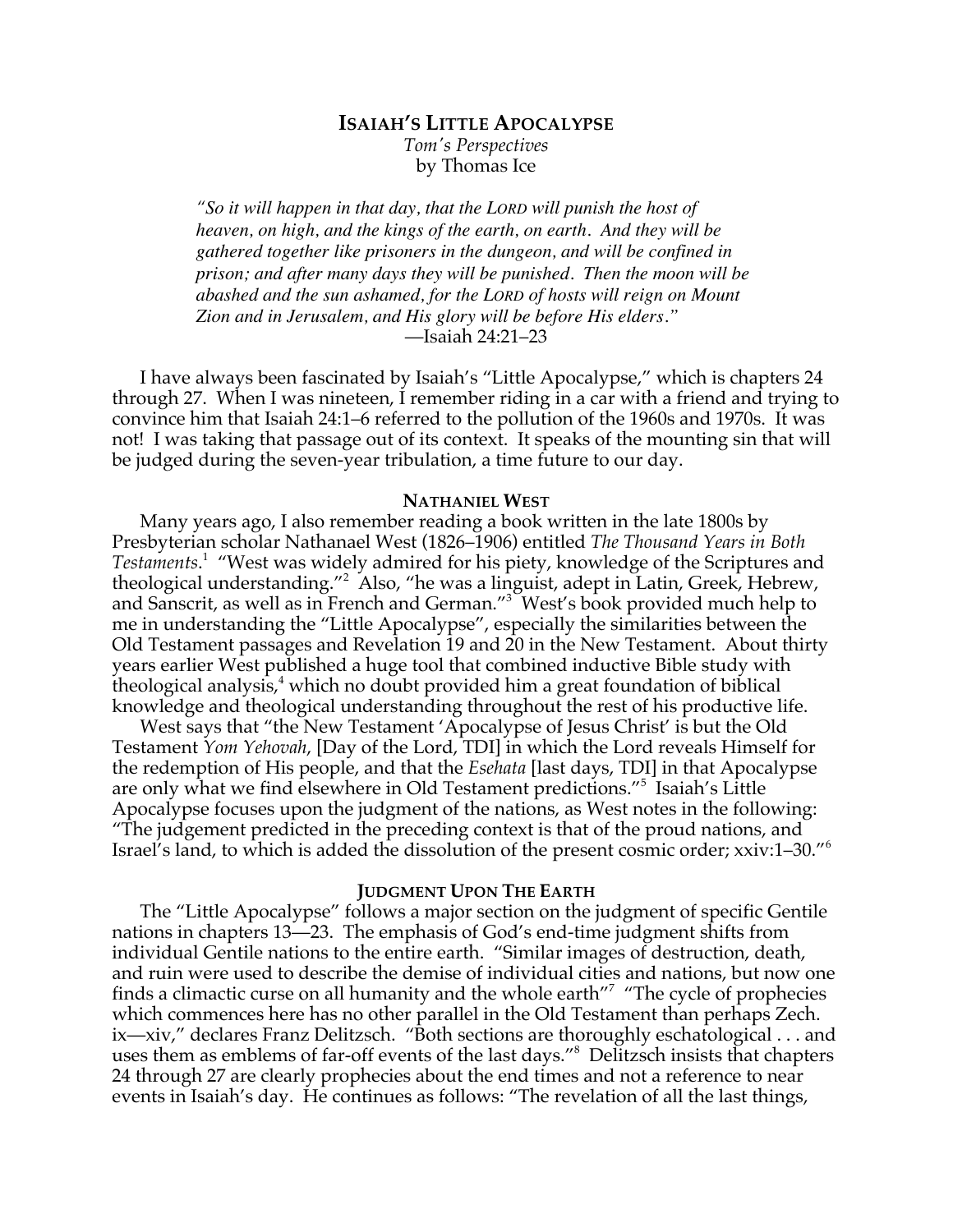# **ISAIAH'S LITTLE APOCALYPSE**

*Tom's Perspectives* by Thomas Ice

*"So it will happen in that day, that the LORD will punish the host of heaven, on high, and the kings of the earth, on earth. And they will be gathered together like prisoners in the dungeon, and will be confined in prison; and after many days they will be punished. Then the moon will be abashed and the sun ashamed, for the LORD of hosts will reign on Mount Zion and in Jerusalem, and His glory will be before His elders."* —Isaiah 24:21–23

I have always been fascinated by Isaiah's "Little Apocalypse," which is chapters 24 through 27. When I was nineteen, I remember riding in a car with a friend and trying to convince him that Isaiah 24:1–6 referred to the pollution of the 1960s and 1970s. It was not! I was taking that passage out of its context. It speaks of the mounting sin that will be judged during the seven-year tribulation, a time future to our day.

#### **NATHANIEL WEST**

Many years ago, I also remember reading a book written in the late 1800s by Presbyterian scholar Nathanael West (1826–1906) entitled *The Thousand Years in Both Testaments*. <sup>1</sup> "West was widely admired for his piety, knowledge of the Scriptures and theological understanding."<sup>2</sup> Also, "he was a linguist, adept in Latin, Greek, Hebrew, and Sanscrit, as well as in French and German."<sup>3</sup> West's book provided much help to me in understanding the "Little Apocalypse", especially the similarities between the Old Testament passages and Revelation 19 and 20 in the New Testament. About thirty years earlier West published a huge tool that combined inductive Bible study with theological analysis, $4$  which no doubt provided him a great foundation of biblical knowledge and theological understanding throughout the rest of his productive life.

West says that "the New Testament 'Apocalypse of Jesus Christ' is but the Old Testament *Yom Yehovah*, [Day of the Lord, TDI] in which the Lord reveals Himself for the redemption of His people, and that the *Esehata* [last days, TDI] in that Apocalypse are only what we find elsewhere in Old Testament predictions."5 Isaiah's Little Apocalypse focuses upon the judgment of the nations, as West notes in the following: "The judgement predicted in the preceding context is that of the proud nations, and Israel's land, to which is added the dissolution of the present cosmic order; xxiv:1–30."<sup>6</sup>

#### **JUDGMENT UPON THE EARTH**

The "Little Apocalypse" follows a major section on the judgment of specific Gentile nations in chapters 13—23. The emphasis of God's end-time judgment shifts from individual Gentile nations to the entire earth. "Similar images of destruction, death, and ruin were used to describe the demise of individual cities and nations, but now one finds a climactic curse on all humanity and the whole earth"<sup>7</sup> "The cycle of prophecies which commences here has no other parallel in the Old Testament than perhaps Zech. ix—xiv," declares Franz Delitzsch. "Both sections are thoroughly eschatological . . . and uses them as emblems of far-off events of the last days."8 Delitzsch insists that chapters 24 through 27 are clearly prophecies about the end times and not a reference to near events in Isaiah's day. He continues as follows: "The revelation of all the last things,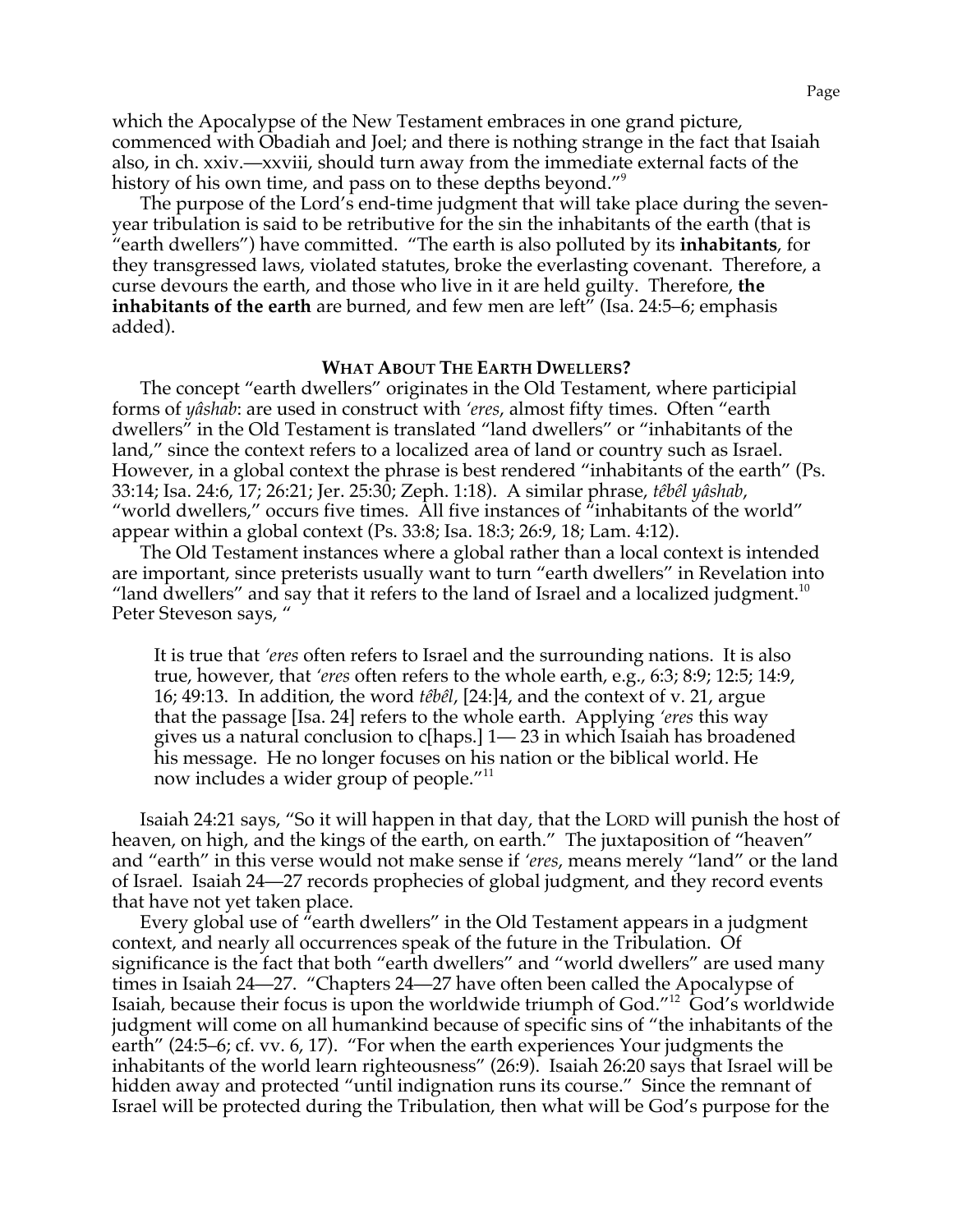which the Apocalypse of the New Testament embraces in one grand picture, commenced with Obadiah and Joel; and there is nothing strange in the fact that Isaiah also, in ch. xxiv.—xxviii, should turn away from the immediate external facts of the history of his own time, and pass on to these depths beyond."<sup>9</sup>

The purpose of the Lord's end-time judgment that will take place during the sevenyear tribulation is said to be retributive for the sin the inhabitants of the earth (that is "earth dwellers") have committed. "The earth is also polluted by its **inhabitants**, for they transgressed laws, violated statutes, broke the everlasting covenant. Therefore, a curse devours the earth, and those who live in it are held guilty. Therefore, **the inhabitants of the earth** are burned, and few men are left" (Isa. 24:5–6; emphasis added).

### **WHAT ABOUT THE EARTH DWELLERS?**

The concept "earth dwellers" originates in the Old Testament, where participial forms of *yâshab*: are used in construct with *'eres*, almost fifty times. Often "earth dwellers" in the Old Testament is translated "land dwellers" or "inhabitants of the land," since the context refers to a localized area of land or country such as Israel. However, in a global context the phrase is best rendered "inhabitants of the earth" (Ps. 33:14; Isa. 24:6, 17; 26:21; Jer. 25:30; Zeph. 1:18). A similar phrase, *têbêl yâshab*, "world dwellers," occurs five times. All five instances of "inhabitants of the world" appear within a global context (Ps. 33:8; Isa. 18:3; 26:9, 18; Lam. 4:12).

The Old Testament instances where a global rather than a local context is intended are important, since preterists usually want to turn "earth dwellers" in Revelation into "land dwellers" and say that it refers to the land of Israel and a localized judgment.<sup>10</sup> Peter Steveson says, "

It is true that *'eres* often refers to Israel and the surrounding nations. It is also true, however, that *'eres* often refers to the whole earth, e.g., 6:3; 8:9; 12:5; 14:9, 16; 49:13. In addition, the word *têbêl*, [24:]4, and the context of v. 21, argue that the passage [Isa. 24] refers to the whole earth. Applying *'eres* this way gives us a natural conclusion to c[haps.] 1— 23 in which Isaiah has broadened his message. He no longer focuses on his nation or the biblical world. He now includes a wider group of people."<sup>11</sup>

Isaiah 24:21 says, "So it will happen in that day, that the LORD will punish the host of heaven, on high, and the kings of the earth, on earth." The juxtaposition of "heaven" and "earth" in this verse would not make sense if *'eres*, means merely "land" or the land of Israel. Isaiah 24—27 records prophecies of global judgment, and they record events that have not yet taken place.

Every global use of "earth dwellers" in the Old Testament appears in a judgment context, and nearly all occurrences speak of the future in the Tribulation. Of significance is the fact that both "earth dwellers" and "world dwellers" are used many times in Isaiah 24—27. "Chapters 24—27 have often been called the Apocalypse of Isaiah, because their focus is upon the worldwide triumph of God."12 God's worldwide judgment will come on all humankind because of specific sins of "the inhabitants of the earth" (24:5–6; cf. vv. 6, 17). "For when the earth experiences Your judgments the inhabitants of the world learn righteousness" (26:9). Isaiah 26:20 says that Israel will be hidden away and protected "until indignation runs its course." Since the remnant of Israel will be protected during the Tribulation, then what will be God's purpose for the